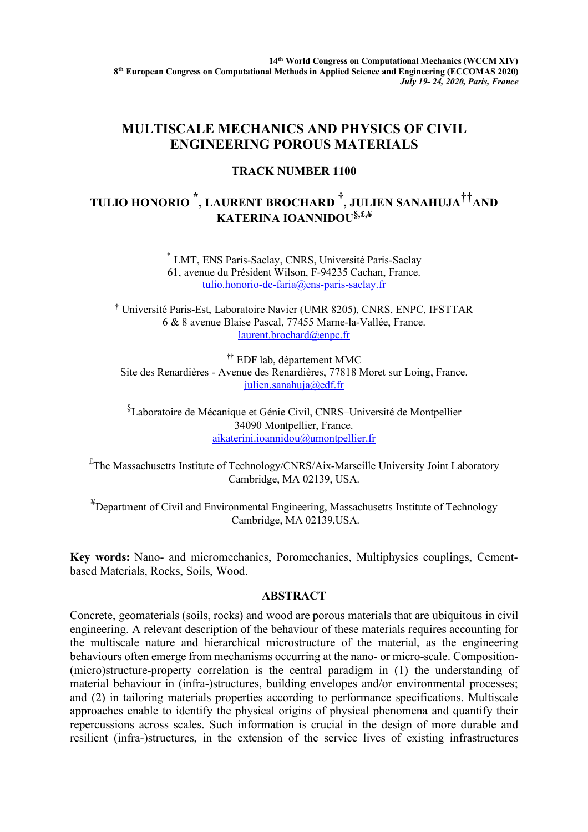## **MULTISCALE MECHANICS AND PHYSICS OF CIVIL ENGINEERING POROUS MATERIALS**

## **TRACK NUMBER 1100**

## **TULIO HONORIO \*, LAURENT BROCHARD † , JULIEN SANAHUJA††AND KATERINA IOANNIDOU§,£,¥**

\* LMT, ENS Paris-Saclay, CNRS, Université Paris-Saclay 61, avenue du Président Wilson, F-94235 Cachan, France. tulio.honorio-de-faria@ens-paris-saclay.fr

† Université Paris-Est, Laboratoire Navier (UMR 8205), CNRS, ENPC, IFSTTAR 6 & 8 avenue Blaise Pascal, 77455 Marne-la-Vallée, France. laurent.brochard@enpc.fr

†† EDF lab, département MMC Site des Renardières - Avenue des Renardières, 77818 Moret sur Loing, France. julien.sanahuja@edf.fr

§ Laboratoire de Mécanique et Génie Civil, CNRS–Université de Montpellier 34090 Montpellier, France. aikaterini.ioannidou@umontpellier.fr

£ The Massachusetts Institute of Technology/CNRS/Aix-Marseille University Joint Laboratory Cambridge, MA 02139, USA.

<sup>¥</sup>Department of Civil and Environmental Engineering, Massachusetts Institute of Technology Cambridge, MA 02139,USA.

**Key words:** Nano- and micromechanics, Poromechanics, Multiphysics couplings, Cementbased Materials, Rocks, Soils, Wood.

## **ABSTRACT**

Concrete, geomaterials (soils, rocks) and wood are porous materials that are ubiquitous in civil engineering. A relevant description of the behaviour of these materials requires accounting for the multiscale nature and hierarchical microstructure of the material, as the engineering behaviours often emerge from mechanisms occurring at the nano- or micro-scale. Composition- (micro)structure-property correlation is the central paradigm in (1) the understanding of material behaviour in (infra-)structures, building envelopes and/or environmental processes; and (2) in tailoring materials properties according to performance specifications. Multiscale approaches enable to identify the physical origins of physical phenomena and quantify their repercussions across scales. Such information is crucial in the design of more durable and resilient (infra-)structures, in the extension of the service lives of existing infrastructures